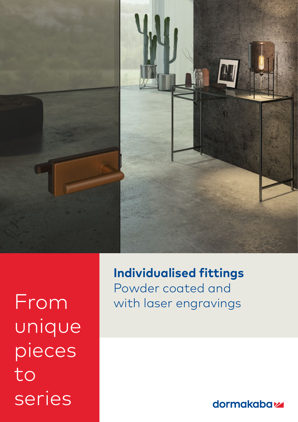

unique pieces to series

**Individualised fittings** Powder coated and From with laser engravings

dormakabaz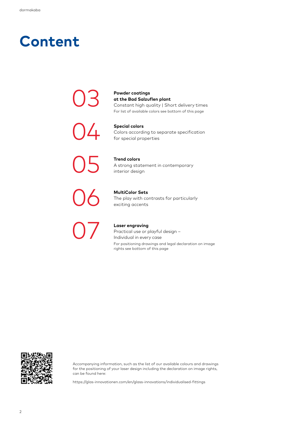## **Content**

03

04

05

06

07

**Powder coatings at the Bad Salzuflen plant** Constant high quality | Short delivery times For list of available colors see bottom of this page

**Special colors** Colors according to separate specification for special properties

**Trend colors**  A strong statement in contemporary interior design

**MultiColor Sets** The play with contrasts for particularly exciting accents

**Laser engraving** Practical use or playful design – Individual in every case For positioning drawings and legal declaration on image rights see bottom of this page



Accompanying information, such as the list of our available colours and drawings for the positioning of your laser design including the declaration on image rights, can be found here:

https://glas-innovationen.com/en/glass-innovations/individualised-fittings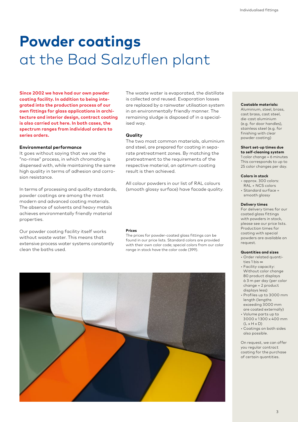# **Powder coatings** at the Bad Salzuflen plant

**Since 2002 we have had our own powder coating facility. In addition to being integrated into the production process of our own fittings for glass applications in architecture and interior design, contract coating is also carried out here. In both cases, the spectrum ranges from individual orders to series orders.**

### **Environmental performance**

It goes without saying that we use the "no-rinse" process, in which chromating is dispensed with, while maintaining the same high quality in terms of adhesion and corrosion resistance.

In terms of processing and quality standards, powder coatings are among the most modern and advanced coating materials. The absence of solvents and heavy metals achieves environmentally friendly material properties.

Our powder coating facility itself works without waste water. This means that extensive process water systems constantly clean the baths used.

### The waste water is evaporated, the distillate is collected and reused. Evaporation losses are replaced by a rainwater utilisation system in an environmentally friendly manner. The remaining sludge is disposed of in a specialised way.

#### **Quality**

The two most common materials, aluminium and steel, are prepared for coating in separate pretreatment zones. By matching the pretreatment to the requirements of the respective material, an optimum coating result is then achieved.

All colour powders in our list of RAL colours (smooth glossy surface) have facade quality.

#### **Prices**

The prices for powder-coated glass fittings can be found in our price lists. Standard colors are provided with their own color code; special colors from our color range in stock have the color code (399).



#### **Coatable materials:**

Aluminium, steel, brass, cast brass, cast steel, die-cast aluminium (e.g. for door handles), stainless steel (e.g. for finishing with clear powder coating)

### **Short set-up times due**

**to self-cleaning system** 1 color change = 6 minutes This corresponds to up to 25 color changes per day.

#### **Colors in stock**

- approx. 300 colors: RAL + NCS colors
- Standard surface = smooth glossy

#### **Delivery times**

For delivery times for our coated glass fittings with powders in stock, please see our price lists. Production times for coating with special powders are available on request.

#### **Quantities and sizes**

- Order related quantities 1 bis ∞
- Facility capacity: Without color change 80 product displays à 3 m per day (per color change = 2 product displays less)
- Profiles up to 3 000 mm length (lengths exceeding 3 000 mm are coated externally)
- Volume parts up to 3 000 x 1 300 x 400 mm  $(L \times H \times D)$
- Coatings on both sides also possible.

On request, we can offer you regular contract coating for the purchase of certain quantities.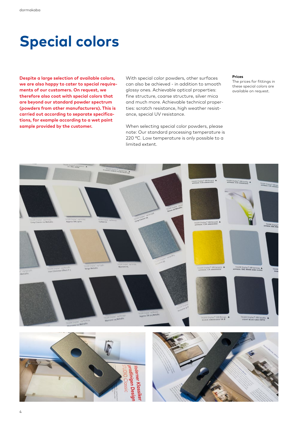# **Special colors**

**Despite a large selection of available colors, we are also happy to cater to special requirements of our customers. On request, we therefore also coat with special colors that are beyond our standard powder spectrum (powders from other manufacturers). This is carried out according to separate specifications, for example according to a wet paint sample provided by the customer.**

With special color powders, other surfaces can also be achieved - in addition to smooth glossy ones. Achievable optical properties: fine structure, coarse structure, silver mica and much more. Achievable technical properties: scratch resistance, high weather resistance, special UV resistance.

When selecting special color powders, please note: Our standard processing temperature is 220 °C. Low temperature is only possible to a limited extent.

#### **Prices**

The prices for fittings in these special colors are available on request.





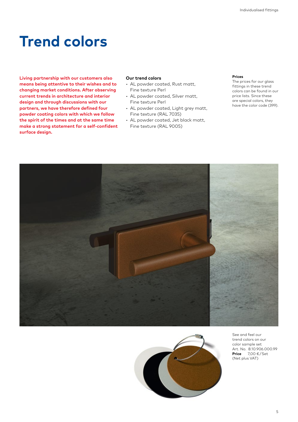# **Trend colors**

**Living partnership with our customers also means being attentive to their wishes and to changing market conditions. After observing current trends in architecture and interior design and through discussions with our partners, we have therefore defined four powder coating colors with which we follow the spirit of the times and at the same time make a strong statement for a self-confident surface design.**

### **Our trend colors**

- AL powder coated, Rust matt, Fine texture Perl
- AL powder coated, Silver matt, Fine texture Perl
- AL powder coated, Light grey matt, Fine texture (RAL 7035)
- AL powder coated, Jet black matt, Fine texture (RAL 9005)

### **Prices**

The prices for our glass fittings in these trend colors can be found in our price lists. Since these are special colors, they have the color code (399).





See and feel our trend colors on our color sample set Art. No. 8.10.906.000.99 **Price** 7,00 € / Set (Net plus VAT)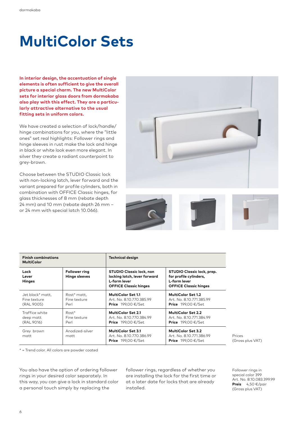# **MultiColor Sets**

**In interior design, the accentuation of single elements is often sufficient to give the overall picture a special charm. The new MultiColor sets for interior glass doors from dormakaba also play with this effect. They are a particularly attractive alternative to the usual fitting sets in uniform colors.**

We have created a selection of lock/handle/ hinge combinations for you, where the "little ones" set real highlights: Follower rings and hinge sleeves in rust make the lock and hinge in black or white look even more elegant. In silver they create a radiant counterpoint to grey-brown.

Choose between the STUDIO Classic lock with non-locking latch, lever forward and the variant prepared for profile cylinders, both in combination with OFFICE Classic hinges, for glass thicknesses of 8 mm (rebate depth 24 mm) and 10 mm (rebate depth 26 mm – or 24 mm with special latch 10.066).





| <b>Finish combinations</b><br><b>MultiColor</b> |                                              | <b>Technical design</b>                                                                                         |                                                                                                             |
|-------------------------------------------------|----------------------------------------------|-----------------------------------------------------------------------------------------------------------------|-------------------------------------------------------------------------------------------------------------|
| Lock<br>Lever<br><b>Hinges</b>                  | <b>Follower ring</b><br><b>Hinge sleeves</b> | <b>STUDIO Classic lock, non</b><br>locking latch, lever forward<br>L-form lever<br><b>OFFICE Classic hinges</b> | <b>STUDIO Classic lock, prep.</b><br>for profile cylinders,<br>L-form lever<br><b>OFFICE Classic hinges</b> |
| Jet black* matt,<br>Fine texture<br>(RAL 9005)  | Rost* matt,<br>Fine texture<br>Perl          | <b>MultiColor Set 1.1</b><br>Art. No. 8.10.770.385.99<br><b>Price</b> $199,00 \in \text{/Set}$                  | <b>MultiColor Set 1.2</b><br>Art. No. 8.10.771.385.99<br><b>Price</b> $199,00 \in \text{/Set}$              |
| Traffice white<br>deep matt<br>(RAL 9016)       | $Rost^*$<br>Fine texture<br>Perl             | MultiColor Set 2.1<br>Art. No. 8.10.770.384.99<br><b>Price</b> $199.00 \in \text{/Set}$                         | MultiColor Set 2.2<br>Art. No. 8.10.771.384.99<br><b>Price</b> $199,00 \in \text{/Set}$                     |
| Grey brown<br>matt                              | Anodized-silver<br>matt                      | MultiColor Set 3.1<br>Art. No. 8.10.770.386.99<br><b>Price</b> $199.00 \in \text{/Set}$                         | <b>MultiColor Set 3.2</b><br>Art. No. 8.10.771.386.99<br><b>Price</b> $199.00 \in \text{/Set}$              |

Prices (Gross plus VAT)

\* = Trend color. All colors are powder coated

You also have the option of ordering follower rings in your desired color separately. In this way, you can give a lock in standard color a personal touch simply by replacing the

follower rings, regardless of whether you are installing the lock for the first time or at a later date for locks that are already installed.

Follower rings in special color 399 Art. No. 8.10.083.399.99 **Preis** 4,50 €/pair (Gross plus VAT)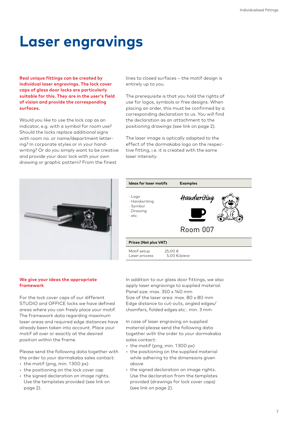# **Laser engravings**

**Real unique fittings can be created by individual laser engravings. The lock cover caps of glass door locks are particularly suitable for this. They are in the user's field of vision and provide the corresponding surfaces.**

Would you like to use the lock cap as an indicator, e.g. with a symbol for room use? Should the locks replace additional signs with room no. or name/department lettering? In corporate styles or in your handwriting? Or do you simply want to be creative and provide your door lock with your own drawing or graphic pattern? From the finest

lines to closed surfaces – the motif design is entirely up to you.

The prerequisite is that you hold the rights of use for logos, symbols or free designs. When placing an order, this must be confirmed by a corresponding declaration to us. You will find the declaration as an attachment to the positioning drawings (see link on page 2).

The laser image is optically adapted to the effect of the dormakaba logo on the respective fitting, i.e. it is created with the same laser intensity.





### **We give your ideas the appropriate framework**

For the lock cover caps of our different STUDIO and OFFICE locks we have defined areas where you can freely place your motif. The framework data regarding maximum laser areas and required edge distances have already been taken into account. Place your motif all over or exactly at the desired position within the frame.

Please send the following data together with the order to your dormakaba sales contact:

- the motif (png, min. 1300 px)
- the positioning on the lock cover cap
- the signed declaration on image rights. Use the templates provided (see link on page 2).

In addition to our glass door fittings, we also apply laser engravings to supplied material. Panel size: max. 350 x 140 mm Size of the laser area: max. 80 x 80 mm Edge distance to cut-outs, angled edges/ chamfers, folded edges etc.: min. 3 mm

In case of laser engraving on supplied material please send the following data together with the order to your dormakaba sales contact:

- the motif (png, min. 1300 px)
- the positioning on the supplied material while adhering to the dimensions given above
- the signed declaration on image rights. Use the declaration from the templates provided (drawings for lock cover caps) (see link on page 2).